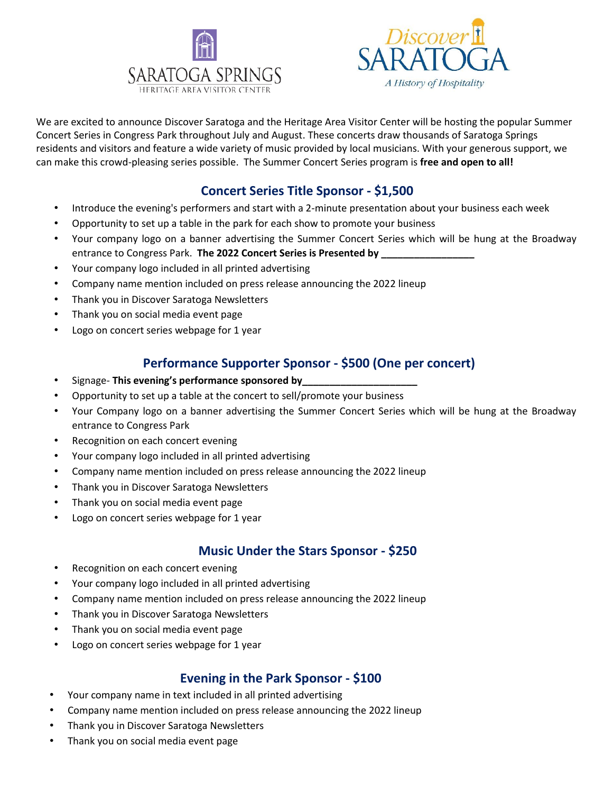



We are excited to announce Discover Saratoga and the Heritage Area Visitor Center will be hosting the popular Summer Concert Series in Congress Park throughout July and August. These concerts draw thousands of Saratoga Springs residents and visitors and feature a wide variety of music provided by local musicians. With your generous support, we can make this crowd-pleasing series possible. The Summer Concert Series program is **free and open to all!**

# **Concert Series Title Sponsor - \$1,500**

- Introduce the evening's performers and start with a 2-minute presentation about your business each week
- Opportunity to set up a table in the park for each show to promote your business
- Your company logo on a banner advertising the Summer Concert Series which will be hung at the Broadway entrance to Congress Park. The 2022 Concert Series is Presented by \_\_\_\_\_\_\_\_\_\_\_\_\_\_
- Your company logo included in all printed advertising
- Company name mention included on press release announcing the 2022 lineup
- Thank you in Discover Saratoga Newsletters
- Thank you on social media event page
- Logo on concert series webpage for 1 year

## **Performance Supporter Sponsor - \$500 (One per concert)**

- Signage- **This evening's performance sponsored by\_\_\_\_\_\_\_\_\_\_\_\_\_\_\_\_\_\_\_\_\_**
- Opportunity to set up a table at the concert to sell/promote your business
- Your Company logo on a banner advertising the Summer Concert Series which will be hung at the Broadway entrance to Congress Park
- Recognition on each concert evening
- Your company logo included in all printed advertising
- Company name mention included on press release announcing the 2022 lineup
- Thank you in Discover Saratoga Newsletters
- Thank you on social media event page
- Logo on concert series webpage for 1 year

## **Music Under the Stars Sponsor - \$250**

- Recognition on each concert evening
- Your company logo included in all printed advertising
- Company name mention included on press release announcing the 2022 lineup
- Thank you in Discover Saratoga Newsletters
- Thank you on social media event page
- Logo on concert series webpage for 1 year

## **Evening in the Park Sponsor - \$100**

- Your company name in text included in all printed advertising
- Company name mention included on press release announcing the 2022 lineup
- Thank you in Discover Saratoga Newsletters
- Thank you on social media event page